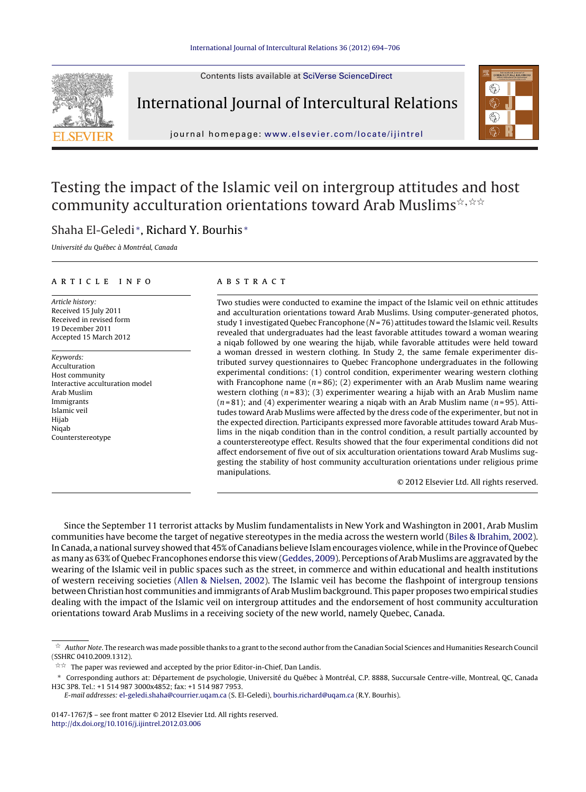Contents lists available at SciVerse [ScienceDirect](http://www.sciencedirect.com/science/journal/01471767)



International Journal of Intercultural Relations



journal homepage: [www.elsevier.com/locate/ijintrel](http://www.elsevier.com/locate/ijintrel)

## Testing the impact of the Islamic veil on intergroup attitudes and host community acculturation orientations toward Arab Muslims $^{\natural,\star,\star\star}$

### Shaha El-Geledi <sup>∗</sup>, Richard Y. Bourhis <sup>∗</sup>

Université du Québec à Montréal, Canada

#### ARTICLE INFO

Article history: Received 15 July 2011 Received in revised form 19 December 2011 Accepted 15 March 2012

Keywords: Acculturation Host community Interactive acculturation model Arab Muslim Immigrants Islamic veil Hijab Niqab Counterstereotype

#### A B S T R A C T

Two studies were conducted to examine the impact of the Islamic veil on ethnic attitudes and acculturation orientations toward Arab Muslims. Using computer-generated photos, study 1 investigated Quebec Francophone  $(N = 76)$  attitudes toward the Islamic veil. Results revealed that undergraduates had the least favorable attitudes toward a woman wearing a niqab followed by one wearing the hijab, while favorable attitudes were held toward a woman dressed in western clothing. In Study 2, the same female experimenter distributed survey questionnaires to Quebec Francophone undergraduates in the following experimental conditions: (1) control condition, experimenter wearing western clothing with Francophone name  $(n=86)$ ; (2) experimenter with an Arab Muslim name wearing western clothing  $(n=83)$ ; (3) experimenter wearing a hijab with an Arab Muslim name  $(n=81)$ ; and (4) experimenter wearing a niqab with an Arab Muslim name ( $n=95$ ). Attitudes toward Arab Muslims were affected by the dress code of the experimenter, but not in the expected direction. Participants expressed more favorable attitudes toward Arab Muslims in the niqab condition than in the control condition, a result partially accounted by a counterstereotype effect. Results showed that the four experimental conditions did not affect endorsement of five out of six acculturation orientations toward Arab Muslims suggesting the stability of host community acculturation orientations under religious prime manipulations.

© 2012 Elsevier Ltd. All rights reserved.

Since the September 11 terrorist attacks by Muslim fundamentalists in New York and Washington in 2001, Arab Muslim communities have become the target of negative stereotypes in the media across the western world ([Biles](#page--1-0) [&](#page--1-0) [Ibrahim,](#page--1-0) [2002\).](#page--1-0) In Canada, a national survey showed that 45% of Canadians believe Islam encourages violence, while in the Province of Quebec as many as 63% of Quebec Francophones endorse this view [\(Geddes,](#page--1-0) [2009\).](#page--1-0) Perceptions of Arab Muslims are aggravated by the wearing of the Islamic veil in public spaces such as the street, in commerce and within educational and health institutions of western receiving societies ([Allen](#page--1-0) [&](#page--1-0) [Nielsen,](#page--1-0) [2002\).](#page--1-0) The Islamic veil has become the flashpoint of intergroup tensions between Christian host communities and immigrants of Arab Muslim background. This paper proposes two empirical studies dealing with the impact of the Islamic veil on intergroup attitudes and the endorsement of host community acculturation orientations toward Arab Muslims in a receiving society of the new world, namely Quebec, Canada.

 $^\star$  Author Note. The research was made possible thanks to a grant to the second author from the Canadian Social Sciences and Humanities Research Council (SSHRC 0410.2009.1312).

 $\dot{\mathbb{X}}$   $\dot{\mathbb{X}}$  The paper was reviewed and accepted by the prior Editor-in-Chief, Dan Landis.

<sup>∗</sup> Corresponding authors at: Département de psychologie, Université du Québec à Montréal, C.P. 8888, Succursale Centre-ville, Montreal, QC, Canada H3C 3P8. Tel.: +1 514 987 3000x4852; fax: +1 514 987 7953.

E-mail addresses: [el-geledi.shaha@courrier.uqam.ca](mailto:el-geledi.shaha@courrier.uqam.ca) (S. El-Geledi), [bourhis.richard@uqam.ca](mailto:bourhis.richard@uqam.ca) (R.Y. Bourhis).

<sup>0147-1767/\$</sup> – see front matter © 2012 Elsevier Ltd. All rights reserved. [http://dx.doi.org/10.1016/j.ijintrel.2012.03.006](dx.doi.org/10.1016/j.ijintrel.2012.03.006)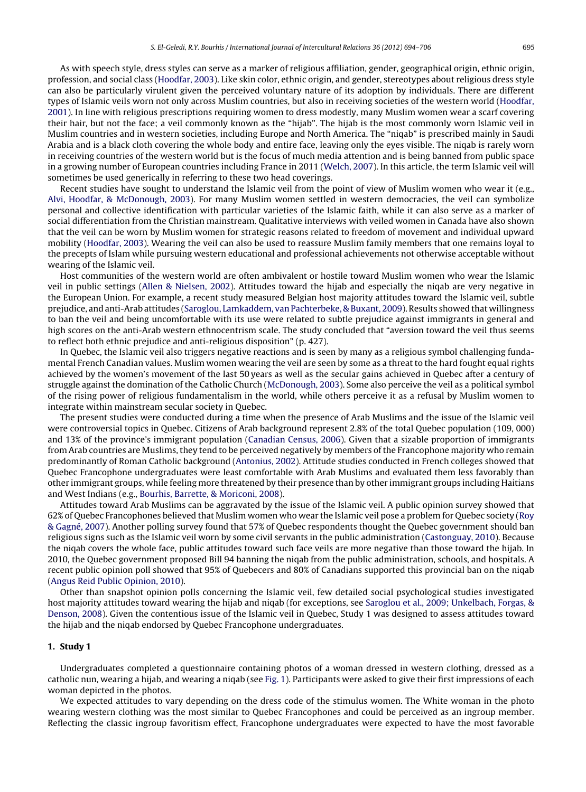As with speech style, dress styles can serve as a marker of religious affiliation, gender, geographical origin, ethnic origin, profession, and social class ([Hoodfar,](#page--1-0) [2003\).](#page--1-0) Like skin color, ethnic origin, and gender, stereotypes about religious dress style can also be particularly virulent given the perceived voluntary nature of its adoption by individuals. There are different types of Islamic veils worn not only across Muslim countries, but also in receiving societies of the western world ([Hoodfar,](#page--1-0) [2001\).](#page--1-0) In line with religious prescriptions requiring women to dress modestly, many Muslim women wear a scarf covering their hair, but not the face; a veil commonly known as the "hijab". The hijab is the most commonly worn Islamic veil in Muslim countries and in western societies, including Europe and North America. The "niqab" is prescribed mainly in Saudi Arabia and is a black cloth covering the whole body and entire face, leaving only the eyes visible. The niqab is rarely worn in receiving countries of the western world but is the focus of much media attention and is being banned from public space in a growing number of European countries including France in 2011 ([Welch,](#page--1-0) [2007\).](#page--1-0) In this article, the term Islamic veil will sometimes be used generically in referring to these two head coverings.

Recent studies have sought to understand the Islamic veil from the point of view of Muslim women who wear it (e.g., [Alvi,](#page--1-0) [Hoodfar,](#page--1-0) [&](#page--1-0) [McDonough,](#page--1-0) [2003\).](#page--1-0) For many Muslim women settled in western democracies, the veil can symbolize personal and collective identification with particular varieties of the Islamic faith, while it can also serve as a marker of social differentiation from the Christian mainstream. Qualitative interviews with veiled women in Canada have also shown that the veil can be worn by Muslim women for strategic reasons related to freedom of movement and individual upward mobility ([Hoodfar,](#page--1-0) [2003\).](#page--1-0) Wearing the veil can also be used to reassure Muslim family members that one remains loyal to the precepts of Islam while pursuing western educational and professional achievements not otherwise acceptable without wearing of the Islamic veil.

Host communities of the western world are often ambivalent or hostile toward Muslim women who wear the Islamic veil in public settings ([Allen](#page--1-0) [&](#page--1-0) [Nielsen,](#page--1-0) [2002\).](#page--1-0) Attitudes toward the hijab and especially the niqab are very negative in the European Union. For example, a recent study measured Belgian host majority attitudes toward the Islamic veil, subtle prejudice, and anti-Arab attitudes [\(Saroglou,](#page--1-0) [Lamkaddem,](#page--1-0) [van](#page--1-0) [Pachterbeke,](#page--1-0) [&](#page--1-0) [Buxant,](#page--1-0) [2009\).](#page--1-0) Results showed that willingness to ban the veil and being uncomfortable with its use were related to subtle prejudice against immigrants in general and high scores on the anti-Arab western ethnocentrism scale. The study concluded that "aversion toward the veil thus seems to reflect both ethnic prejudice and anti-religious disposition" (p. 427).

In Quebec, the Islamic veil also triggers negative reactions and is seen by many as a religious symbol challenging fundamental French Canadian values. Muslim women wearing the veil are seen by some as a threat to the hard fought equal rights achieved by the women's movement of the last 50 years as well as the secular gains achieved in Quebec after a century of struggle against the domination of the Catholic Church ([McDonough,](#page--1-0) [2003\).](#page--1-0) Some also perceive the veil as a political symbol of the rising power of religious fundamentalism in the world, while others perceive it as a refusal by Muslim women to integrate within mainstream secular society in Quebec.

The present studies were conducted during a time when the presence of Arab Muslims and the issue of the Islamic veil were controversial topics in Quebec. Citizens of Arab background represent 2.8% of the total Quebec population (109, 000) and 13% of the province's immigrant population ([Canadian](#page--1-0) [Census,](#page--1-0) [2006\).](#page--1-0) Given that a sizable proportion of immigrants from Arab countries are Muslims, they tend to be perceived negatively by members of the Francophone majority who remain predominantly of Roman Catholic background [\(Antonius,](#page--1-0) [2002\).](#page--1-0) Attitude studies conducted in French colleges showed that Quebec Francophone undergraduates were least comfortable with Arab Muslims and evaluated them less favorably than other immigrant groups, while feeling more threatened by their presence than by other immigrant groups including Haitians and West Indians (e.g., [Bourhis,](#page--1-0) [Barrette,](#page--1-0) [&](#page--1-0) [Moriconi,](#page--1-0) [2008\).](#page--1-0)

Attitudes toward Arab Muslims can be aggravated by the issue of the Islamic veil. A public opinion survey showed that 62% of Quebec Francophones believed that Muslim women who wear the Islamic veil pose a problem for Quebec society [\(Roy](#page--1-0) [&](#page--1-0) [Gagné,](#page--1-0) [2007\).](#page--1-0) Another polling survey found that 57% of Quebec respondents thought the Quebec government should ban religious signs such as the Islamic veil worn by some civil servants in the public administration [\(Castonguay,](#page--1-0) [2010\).](#page--1-0) Because the niqab covers the whole face, public attitudes toward such face veils are more negative than those toward the hijab. In 2010, the Quebec government proposed Bill 94 banning the niqab from the public administration, schools, and hospitals. A recent public opinion poll showed that 95% of Quebecers and 80% of Canadians supported this provincial ban on the niqab [\(Angus](#page--1-0) [Reid](#page--1-0) [Public](#page--1-0) [Opinion,](#page--1-0) [2010\).](#page--1-0)

Other than snapshot opinion polls concerning the Islamic veil, few detailed social psychological studies investigated host majority attitudes toward wearing the hijab and niqab (for exceptions, see [Saroglou](#page--1-0) et [al.,](#page--1-0) [2009;](#page--1-0) [Unkelbach,](#page--1-0) [Forgas,](#page--1-0) [&](#page--1-0) [Denson,](#page--1-0) [2008\).](#page--1-0) Given the contentious issue of the Islamic veil in Quebec, Study 1 was designed to assess attitudes toward the hijab and the niqab endorsed by Quebec Francophone undergraduates.

#### **1. Study 1**

Undergraduates completed a questionnaire containing photos of a woman dressed in western clothing, dressed as a catholic nun, wearing a hijab, and wearing a niqab (see [Fig.](#page--1-0) 1). Participants were asked to give their first impressions of each woman depicted in the photos.

We expected attitudes to vary depending on the dress code of the stimulus women. The White woman in the photo wearing western clothing was the most similar to Quebec Francophones and could be perceived as an ingroup member. Reflecting the classic ingroup favoritism effect, Francophone undergraduates were expected to have the most favorable